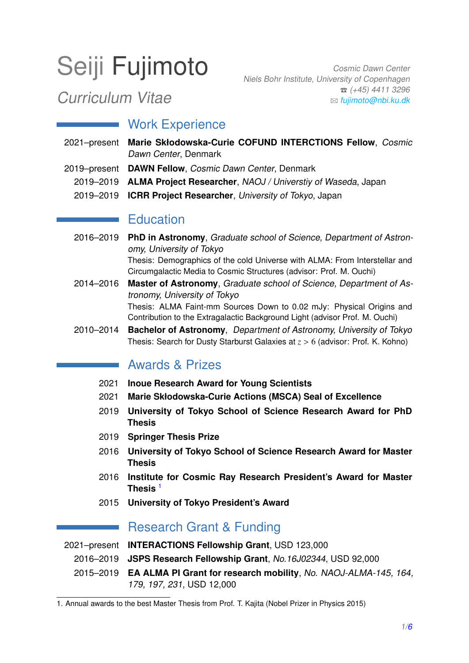# Seiji Fujimoto

Cosmic Dawn Center Niels Bohr Institute, University of Copenhagen  $\hat{C}$  (+45) 4411 3296 B [fujimoto@nbi.ku.dk](mailto:fujimoto@nbi.ku.dk)

## Curriculum Vitae

## Work Experience

- 2021–present **Marie Skłodowska-Curie COFUND INTERCTIONS Fellow**, Cosmic Dawn Center, Denmark
- 2019–present **DAWN Fellow**, Cosmic Dawn Center, Denmark
	- 2019–2019 **ALMA Project Researcher**, NAOJ / Universtiy of Waseda, Japan
	- 2019–2019 **ICRR Project Researcher**, University of Tokyo, Japan

## **Education**

- 2016–2019 **PhD in Astronomy**, Graduate school of Science, Department of Astronomy, University of Tokyo Thesis: Demographics of the cold Universe with ALMA: From Interstellar and Circumgalactic Media to Cosmic Structures (advisor: Prof. M. Ouchi)
- 2014–2016 **Master of Astronomy**, Graduate school of Science, Department of Astronomy, University of Tokyo Thesis: ALMA Faint-mm Sources Down to 0.02 mJy: Physical Origins and Contribution to the Extragalactic Background Light (advisor Prof. M. Ouchi)
- 2010–2014 **Bachelor of Astronomy**, Department of Astronomy, University of Tokyo Thesis: Search for Dusty Starburst Galaxies at *<sup>z</sup>* > <sup>6</sup> (advisor: Prof. K. Kohno)

## **Awards & Prizes**

- 2021 **Inoue Research Award for Young Scientists**
- 2021 **Marie Skłodowska-Curie Actions (MSCA) Seal of Excellence**
- 2019 **University of Tokyo School of Science Research Award for PhD Thesis**
- 2019 **Springer Thesis Prize**
- 2016 **University of Tokyo School of Science Research Award for Master Thesis**
- 2016 **Institute for Cosmic Ray Research President's Award for Master Thesis** [1](#page-0-0)
- 2015 **University of Tokyo President's Award**

## Research Grant & Funding

2021–present **INTERACTIONS Fellowship Grant**, USD 123,000

2016–2019 **JSPS Research Fellowship Grant**, No.16J02344, USD 92,000

2015–2019 **EA ALMA PI Grant for research mobility**, No. NAOJ-ALMA-145, 164, 179, 197, 231, USD 12,000

<span id="page-0-0"></span><sup>1.</sup> Annual awards to the best Master Thesis from Prof. T. Kajita (Nobel Prizer in Physics 2015)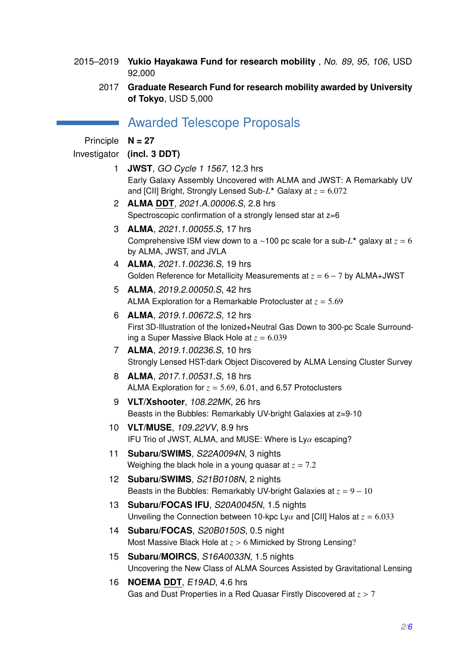- 2015–2019 **Yukio Hayakawa Fund for research mobility** , No. 89, 95, 106, USD 92,000
	- 2017 **Graduate Research Fund for research mobility awarded by University of Tokyo**, USD 5,000

## Awarded Telescope Proposals

Principle **N = 27**

#### Investigator **(incl. 3 DDT)**

- 1 **JWST**, GO Cycle 1 1567, 12.3 hrs Early Galaxy Assembly Uncovered with ALMA and JWST: A Remarkably UV and [CII] Bright, Strongly Lensed Sub- $L^*$  Galaxy at  $z = 6.072$ <br> **ALLIA DDT**, 2001, A 2000 C, O, O kus
- 2 **ALMA DDT**, 2021.A.00006.S, 2.8 hrs Spectroscopic confirmation of a strongly lensed star at  $z=6$
- 3 **ALMA**, 2021.1.00055.S, 17 hrs Comprehensive ISM view down to a ∼100 pc scale for a sub-*L* <sup>⋆</sup> galaxy at *z* = 6 by ALMA, JWST, and JVLA
- 4 **ALMA**, 2021.1.00236.S, 19 hrs Golden Reference for Metallicity Measurements at *z* = 6 − 7 by ALMA+JWST
- 5 **ALMA**, 2019.2.00050.S, 42 hrs ALMA Exploration for a Remarkable Protocluster at *<sup>z</sup>* <sup>=</sup> <sup>5</sup>.<sup>69</sup>
- 6 **ALMA**, 2019.1.00672.S, 12 hrs First 3D-Illustration of the Ionized+Neutral Gas Down to 300-pc Scale Surrounding a Super Massive Black Hole at  $z = 6.039$
- 7 **ALMA**, 2019.1.00236.S, 10 hrs Strongly Lensed HST-dark Object Discovered by ALMA Lensing Cluster Survey
- 8 **ALMA**, 2017.1.00531.S, 18 hrs ALMA Exploration for  $z = 5.69$ , 6.01, and 6.57 Protoclusters
- 9 **VLT/Xshooter**, 108.22MK, 26 hrs Beasts in the Bubbles: Remarkably UV-bright Galaxies at z=9-10
- 10 **VLT/MUSE**, 109.22VV, 8.9 hrs IFU Trio of JWST, ALMA, and MUSE: Where is  $Ly\alpha$  escaping?
- 11 **Subaru/SWIMS**, S22A0094N, 3 nights Weighing the black hole in a young quasar at  $z = 7.2$
- 12 **Subaru/SWIMS**, S21B0108N, 2 nights Beasts in the Bubbles: Remarkably UV-bright Galaxies at  $z = 9 - 10$
- 13 **Subaru/FOCAS IFU**, S20A0045N, 1.5 nights Unveiling the Connection between 10-kpc Ly $\alpha$  and [CII] Halos at  $z = 6.033$
- 14 **Subaru/FOCAS**, S20B0150S, 0.5 night Most Massive Black Hole at *<sup>z</sup>* > <sup>6</sup> Mimicked by Strong Lensing?
- 15 **Subaru/MOIRCS**, S16A0033N, 1.5 nights Uncovering the New Class of ALMA Sources Assisted by Gravitational Lensing
- 16 **NOEMA DDT**, E19AD, 4.6 hrs Gas and Dust Properties in a Red Quasar Firstly Discovered at *<sup>z</sup>* > <sup>7</sup>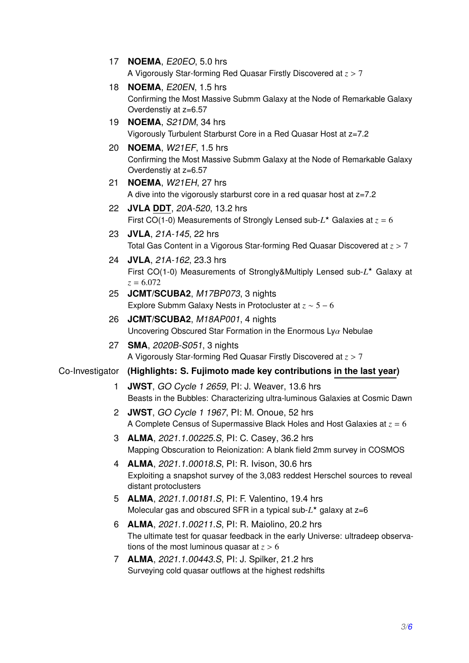- 17 **NOEMA**, E20EO, 5.0 hrs A Vigorously Star-forming Red Quasar Firstly Discovered at *<sup>z</sup>* > <sup>7</sup>
- 18 **NOEMA**, E20EN, 1.5 hrs Confirming the Most Massive Submm Galaxy at the Node of Remarkable Galaxy Overdenstiy at z=6.57
- 19 **NOEMA**, S21DM, 34 hrs Vigorously Turbulent Starburst Core in a Red Quasar Host at z=7.2
- 20 **NOEMA**, W21EF, 1.5 hrs Confirming the Most Massive Submm Galaxy at the Node of Remarkable Galaxy Overdenstiy at z=6.57
- 21 **NOEMA**, W21EH, 27 hrs A dive into the vigorously starburst core in a red quasar host at z=7.2
- 22 **JVLA DDT**, 20A-520, 13.2 hrs First CO(1-0) Measurements of Strongly Lensed sub-*L* <sup>⋆</sup> Galaxies at *z* = 6
- 23 **JVLA**, 21A-145, 22 hrs Total Gas Content in a Vigorous Star-forming Red Quasar Discovered at *<sup>z</sup>* > <sup>7</sup>
- 24 **JVLA**, 21A-162, 23.3 hrs First CO(1-0) Measurements of Strongly&Multiply Lensed sub-*L* <sup>⋆</sup> Galaxy at  $z = 6.072$
- 25 **JCMT/SCUBA2**, M17BP073, 3 nights Explore Submm Galaxy Nests in Protocluster at *z* ∼ 5 − 6
- 26 **JCMT/SCUBA2**, M18AP001, 4 nights Uncovering Obscured Star Formation in the Enormous Ly $\alpha$  Nebulae
- 27 **SMA**, 2020B-S051, 3 nights A Vigorously Star-forming Red Quasar Firstly Discovered at *<sup>z</sup>* > <sup>7</sup>

#### Co-Investigator **(Highlights: S. Fujimoto made key contributions in the last year)**

- 1 **JWST**, GO Cycle 1 2659, PI: J. Weaver, 13.6 hrs Beasts in the Bubbles: Characterizing ultra-luminous Galaxies at Cosmic Dawn
- 2 **JWST**, GO Cycle 1 1967, PI: M. Onoue, 52 hrs A Complete Census of Supermassive Black Holes and Host Galaxies at *z* = 6
- 3 **ALMA**, 2021.1.00225.S, PI: C. Casey, 36.2 hrs Mapping Obscuration to Reionization: A blank field 2mm survey in COSMOS
- 4 **ALMA**, 2021.1.00018.S, PI: R. Ivison, 30.6 hrs Exploiting a snapshot survey of the 3,083 reddest Herschel sources to reveal distant protoclusters
- 5 **ALMA**, 2021.1.00181.S, PI: F. Valentino, 19.4 hrs Molecular gas and obscured SFR in a typical sub-*L* <sup>⋆</sup> galaxy at z=6
- 6 **ALMA**, 2021.1.00211.S, PI: R. Maiolino, 20.2 hrs The ultimate test for quasar feedback in the early Universe: ultradeep observations of the most luminous quasar at  $z > 6$
- 7 **ALMA**, 2021.1.00443.S, PI: J. Spilker, 21.2 hrs Surveying cold quasar outflows at the highest redshifts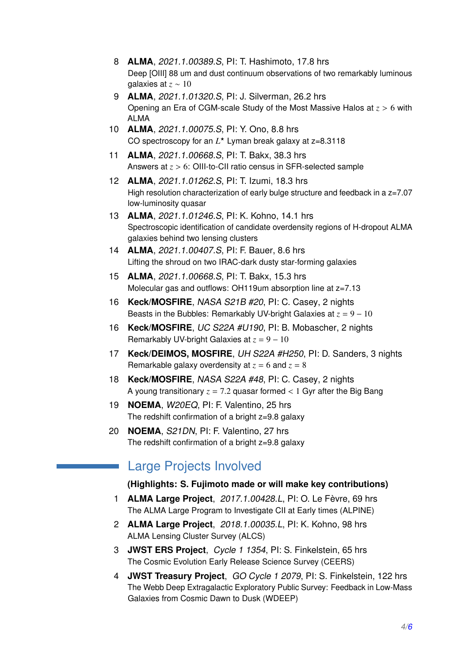- 8 **ALMA**, 2021.1.00389.S, PI: T. Hashimoto, 17.8 hrs Deep [OIII] 88 um and dust continuum observations of two remarkably luminous galaxies at *z* ∼ 10
- 9 **ALMA**, 2021.1.01320.S, PI: J. Silverman, 26.2 hrs Opening an Era of CGM-scale Study of the Most Massive Halos at *<sup>z</sup>* > <sup>6</sup> with ALMA
- 10 **ALMA**, 2021.1.00075.S, PI: Y. Ono, 8.8 hrs CO spectroscopy for an *L* <sup>⋆</sup> Lyman break galaxy at z=8.3118
- 11 **ALMA**, 2021.1.00668.S, PI: T. Bakx, 38.3 hrs Answers at *<sup>z</sup>* > <sup>6</sup>: OIII-to-CII ratio census in SFR-selected sample
- 12 **ALMA**, 2021.1.01262.S, PI: T. Izumi, 18.3 hrs High resolution characterization of early bulge structure and feedback in a z=7.07 low-luminosity quasar
- 13 **ALMA**, 2021.1.01246.S, PI: K. Kohno, 14.1 hrs Spectroscopic identification of candidate overdensity regions of H-dropout ALMA galaxies behind two lensing clusters
- 14 **ALMA**, 2021.1.00407.S, PI: F. Bauer, 8.6 hrs Lifting the shroud on two IRAC-dark dusty star-forming galaxies
- 15 **ALMA**, 2021.1.00668.S, PI: T. Bakx, 15.3 hrs Molecular gas and outflows: OH119um absorption line at z=7.13
- 16 **Keck/MOSFIRE**, NASA S21B #20, PI: C. Casey, 2 nights Beasts in the Bubbles: Remarkably UV-bright Galaxies at  $z = 9 - 10$
- 16 **Keck/MOSFIRE**, UC S22A #U190, PI: B. Mobascher, 2 nights Remarkably UV-bright Galaxies at *z* = 9 − 10
- 17 **Keck/DEIMOS, MOSFIRE**, UH S22A #H250, PI: D. Sanders, 3 nights Remarkable galaxy overdensity at  $z = 6$  and  $z = 8$
- 18 **Keck/MOSFIRE**, NASA S22A #48, PI: C. Casey, 2 nights A young transitionary  $z = 7.2$  quasar formed  $\lt 1$  Gyr after the Big Bang
- 19 **NOEMA**, W20EQ, PI: F. Valentino, 25 hrs The redshift confirmation of a bright z=9.8 galaxy
- 20 **NOEMA**, S21DN, PI: F. Valentino, 27 hrs The redshift confirmation of a bright z=9.8 galaxy

## Large Projects Involved

#### **(Highlights: S. Fujimoto made or will make key contributions)**

- 1 **ALMA Large Project**, 2017.1.00428.L, PI: O. Le Fèvre, 69 hrs The ALMA Large Program to Investigate CII at Early times (ALPINE)
- 2 **ALMA Large Project**, 2018.1.00035.L, PI: K. Kohno, 98 hrs ALMA Lensing Cluster Survey (ALCS)
- 3 **JWST ERS Project**, Cycle 1 1354, PI: S. Finkelstein, 65 hrs The Cosmic Evolution Early Release Science Survey (CEERS)
- 4 **JWST Treasury Project**, GO Cycle 1 2079, PI: S. Finkelstein, 122 hrs The Webb Deep Extragalactic Exploratory Public Survey: Feedback in Low-Mass Galaxies from Cosmic Dawn to Dusk (WDEEP)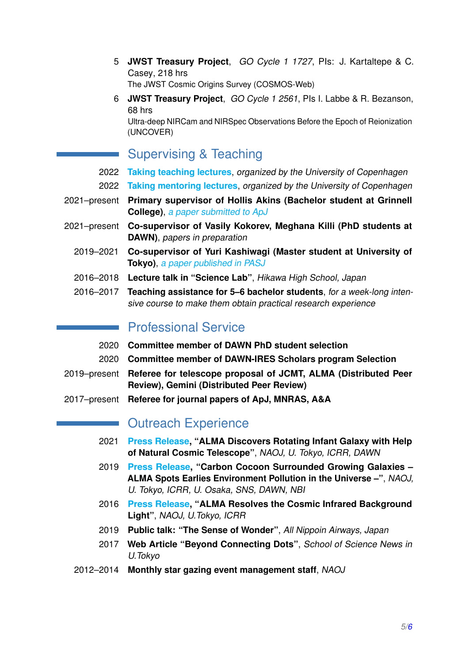5 **JWST Treasury Project**, GO Cycle 1 1727, PIs: J. Kartaltepe & C. Casey, 218 hrs

The JWST Cosmic Origins Survey (COSMOS-Web)

6 **JWST Treasury Project**, GO Cycle 1 2561, PIs I. Labbe & R. Bezanson, 68 hrs Ultra-deep NIRCam and NIRSpec Observations Before the Epoch of Reionization (UNCOVER)

## Supervising & Teaching

- 2022 **[Taking teaching lectures](https://www.ind.ku.dk/english/course_overview/up/)**, organized by the University of Copenhagen
- 2022 **[Taking mentoring lectures](https://www.ind.ku.dk/undervisning-kurser/instruktorworkshop/)**, organized by the University of Copenhagen
- 2021–present **Primary supervisor of Hollis Akins (Bachelor student at Grinnell College)**, [a paper submitted to ApJ](https://www.dropbox.com/s/jv5zcdvev1miotb/Akins2021_submitted_ApJ.pdf?dl=0)
- 2021–present **Co-supervisor of Vasily Kokorev, Meghana Killi (PhD students at DAWN)**, papers in preparation
	- 2019–2021 **Co-supervisor of Yuri Kashiwagi (Master student at University of Tokyo)**, [a paper published in PASJ](https://ui.adsabs.harvard.edu/abs/2021arXiv211005030K/abstract)
	- 2016–2018 **Lecture talk in "Science Lab"**, Hikawa High School, Japan
	- 2016–2017 **Teaching assistance for 5–6 bachelor students**, for a week-long intensive course to make them obtain practical research experience

## **Professional Service**

- 2020 **Committee member of DAWN PhD student selection**
- 2020 **Committee member of DAWN-IRES Scholars program Selection**
- 2019–present **Referee for telescope proposal of JCMT, ALMA (Distributed Peer Review), Gemini (Distributed Peer Review)**
- 2017–present **Referee for journal papers of ApJ, MNRAS, A&A**

## **No Outreach Experience**

- 2021 **[Press Release,](https://alma-telescope.jp/en/news/press/alcs-202104) "ALMA Discovers Rotating Infant Galaxy with Help of Natural Cosmic Telescope"**, NAOJ, U. Tokyo, ICRR, DAWN
- 2019 **[Press Release,](https://www.almaobservatory.org/en/press-releases/alma-spots-earliest-environment-pollution-in-the-universe/) "Carbon Cocoon Surrounded Growing Galaxies – ALMA Spots Earlies Environment Pollution in the Universe –"**, NAOJ, U. Tokyo, ICRR, U. Osaka, SNS, DAWN, NBI
- 2016 **[Press Release,](https://www.almaobservatory.org/en/press-releases/mysterious-infrared-light-from-space-resolved-perfectly/) "ALMA Resolves the Cosmic Infrared Background Light"**, NAOJ, U.Tokyo, ICRR
- 2019 **Public talk: "The Sense of Wonder"**, All Nippoin Airways, Japan
- 2017 **Web Article "Beyond Connecting Dots"**, School of Science News in U.Tokyo
- 2012–2014 **Monthly star gazing event management staff**, NAOJ